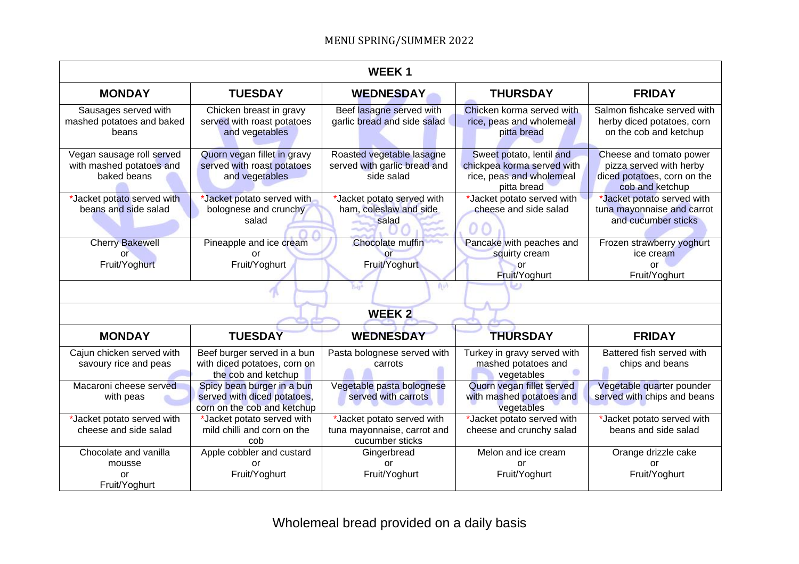| <b>WEEK1</b>                                                         |                                                                                          |                                                                              |                                                                                                   |                                                                                                      |  |  |
|----------------------------------------------------------------------|------------------------------------------------------------------------------------------|------------------------------------------------------------------------------|---------------------------------------------------------------------------------------------------|------------------------------------------------------------------------------------------------------|--|--|
| <b>MONDAY</b>                                                        | <b>TUESDAY</b>                                                                           | <b>WEDNESDAY</b>                                                             | <b>THURSDAY</b>                                                                                   | <b>FRIDAY</b>                                                                                        |  |  |
| Sausages served with<br>mashed potatoes and baked<br>beans           | Chicken breast in gravy<br>served with roast potatoes<br>and vegetables                  | Beef lasagne served with<br>garlic bread and side salad                      | Chicken korma served with<br>rice, peas and wholemeal<br>pitta bread                              | Salmon fishcake served with<br>herby diced potatoes, corn<br>on the cob and ketchup                  |  |  |
| Vegan sausage roll served<br>with mashed potatoes and<br>baked beans | Quorn vegan fillet in gravy<br>served with roast potatoes<br>and vegetables              | Roasted vegetable lasagne<br>served with garlic bread and<br>side salad      | Sweet potato, lentil and<br>chickpea korma served with<br>rice, peas and wholemeal<br>pitta bread | Cheese and tomato power<br>pizza served with herby<br>diced potatoes, corn on the<br>cob and ketchup |  |  |
| *Jacket potato served with<br>beans and side salad                   | *Jacket potato served with<br>bolognese and crunchy<br>salad                             | *Jacket potato served with<br>ham, coleslaw and side<br>salad                | *Jacket potato served with<br>cheese and side salad                                               | *Jacket potato served with<br>tuna mayonnaise and carrot<br>and cucumber sticks                      |  |  |
| <b>Cherry Bakewell</b><br>or<br>Fruit/Yoghurt                        | Pineapple and ice cream<br>or<br>Fruit/Yoghurt                                           | <b>Chocolate muffin</b><br>or<br>Fruit/Yoghurt                               | Pancake with peaches and<br>squirty cream<br>or<br>Fruit/Yoghurt                                  | Frozen strawberry yoghurt<br>ice cream<br>or<br>Fruit/Yoghurt                                        |  |  |
| ho3<br><b>Bay</b>                                                    |                                                                                          |                                                                              |                                                                                                   |                                                                                                      |  |  |
| <b>WEEK2</b>                                                         |                                                                                          |                                                                              |                                                                                                   |                                                                                                      |  |  |
| <b>MONDAY</b>                                                        | <b>TUESDAY</b>                                                                           | <b>WEDNESDAY</b>                                                             | <b>THURSDAY</b>                                                                                   | <b>FRIDAY</b>                                                                                        |  |  |
| Cajun chicken served with<br>savoury rice and peas                   | Beef burger served in a bun<br>with diced potatoes, corn on<br>the cob and ketchup       | Pasta bolognese served with<br>carrots                                       | Turkey in gravy served with<br>mashed potatoes and<br>vegetables                                  | Battered fish served with<br>chips and beans                                                         |  |  |
| Macaroni cheese served<br>with peas                                  | Spicy bean burger in a bun<br>served with diced potatoes,<br>corn on the cob and ketchup | Vegetable pasta bolognese<br>served with carrots                             | Quorn vegan fillet served<br>with mashed potatoes and<br>vegetables                               | Vegetable quarter pounder<br>served with chips and beans                                             |  |  |
| *Jacket potato served with<br>cheese and side salad                  | *Jacket potato served with<br>mild chilli and corn on the<br>cob                         | *Jacket potato served with<br>tuna mayonnaise, carrot and<br>cucumber sticks | *Jacket potato served with<br>cheese and crunchy salad                                            | *Jacket potato served with<br>beans and side salad                                                   |  |  |
| Chocolate and vanilla<br>mousse<br>or<br>Fruit/Yoghurt               | Apple cobbler and custard<br><b>or</b><br>Fruit/Yoghurt                                  | Gingerbread<br>or<br>Fruit/Yoghurt                                           | Melon and ice cream<br>or<br>Fruit/Yoghurt                                                        | Orange drizzle cake<br>or<br>Fruit/Yoghurt                                                           |  |  |